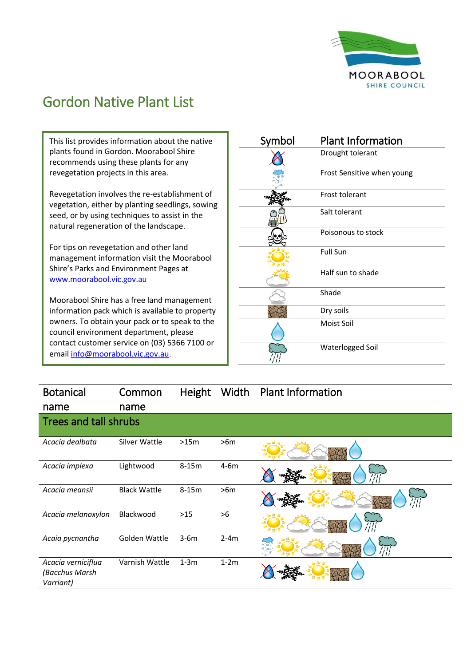

## Gordon Native Plant List

This list provides information about the native plants found in Gordon. Moorabool Shire recommends using these plants for any revegetation projects in this area.

Revegetation involves the re-establishment of vegetation, either by planting seedlings, sowing seed, or by using techniques to assist in the natural regeneration of the landscape.

For tips on revegetation and other land management information visit the Moorabool Shire's Parks and Environment Pages at [www.moorabool.vic.gov.au](http://www.moorabool.vic.gov.au/)

Moorabool Shire has a free land management information pack which is available to property owners. To obtain your pack or to speak to the council environment department, please contact customer service on (03) 5366 7100 or emai[l info@moorabool.vic.gov.au.](mailto:info@moorabool.vic.gov.au)

| Symbol | <b>Plant Information</b>   |
|--------|----------------------------|
|        | Drought tolerant           |
|        | Frost Sensitive when young |
|        | Frost tolerant             |
|        | Salt tolerant              |
|        | Poisonous to stock         |
|        | <b>Full Sun</b>            |
|        | Half sun to shade          |
|        | Shade                      |
|        | Dry soils                  |
|        | Moist Soil                 |
|        | Waterlogged Soil           |

| <b>Botanical</b>                                  | Common              | Height  | Width  | <b>Plant Information</b> |
|---------------------------------------------------|---------------------|---------|--------|--------------------------|
| name                                              | name                |         |        |                          |
| Trees and tall shrubs                             |                     |         |        |                          |
| Acacia dealbata                                   | Silver Wattle       | >15m    | >6m    |                          |
| Acacia implexa                                    | Lightwood           | $8-15m$ | $4-6m$ |                          |
| Acacia meansii                                    | <b>Black Wattle</b> | $8-15m$ | >6m    | ŦП                       |
| Acacia melanoxylon                                | Blackwood           | $>15$   | >6     |                          |
| Acaia pycnantha                                   | Golden Wattle       | $3-6m$  | $2-4m$ |                          |
| Acacia verniciflua<br>(Bacchus Marsh<br>Varriant) | Varnish Wattle      | $1-3m$  | $1-2m$ |                          |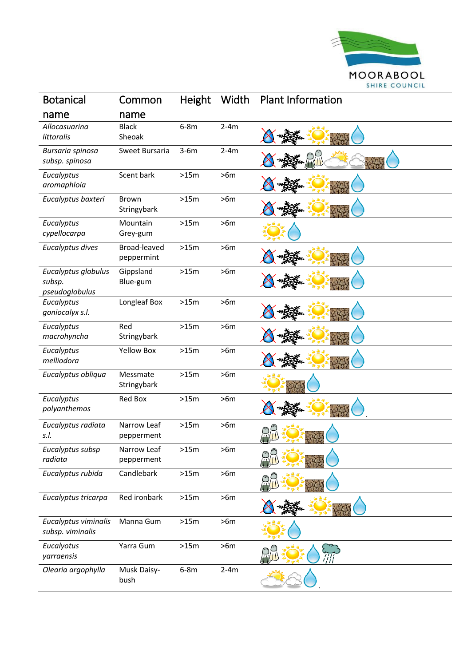

| <b>Botanical</b>                                | Common                      | <b>Height</b> | Width  | <b>Plant Information</b> |
|-------------------------------------------------|-----------------------------|---------------|--------|--------------------------|
| name                                            | name                        |               |        |                          |
| Allocasuarina<br>littoralis                     | <b>Black</b><br>Sheoak      | $6-8m$        | $2-4m$ |                          |
| Bursaria spinosa<br>subsp. spinosa              | Sweet Bursaria              | $3-6m$        | $2-4m$ |                          |
| Eucalyptus<br>aromaphloia                       | Scent bark                  | >15m          | >6m    |                          |
| Eucalyptus baxteri                              | <b>Brown</b><br>Stringybark | >15m          | >6m    |                          |
| Eucalyptus<br>cypellocarpa                      | Mountain<br>Grey-gum        | >15m          | >6m    |                          |
| Eucalyptus dives                                | Broad-leaved<br>peppermint  | >15m          | >6m    |                          |
| Eucalyptus globulus<br>subsp.<br>pseudoglobulus | Gippsland<br>Blue-gum       | >15m          | >6m    |                          |
| Eucalyptus<br>goniocalyx s.l.                   | Longleaf Box                | >15m          | >6m    |                          |
| Eucalyptus<br>macrohyncha                       | Red<br>Stringybark          | >15m          | >6m    |                          |
| Eucalyptus<br>melliodora                        | <b>Yellow Box</b>           | >15m          | >6m    |                          |
| Eucalyptus obliqua                              | Messmate<br>Stringybark     | >15m          | >6m    |                          |
| Eucalyptus<br>polyanthemos                      | <b>Red Box</b>              | >15m          | >6m    |                          |
| Eucalyptus radiata<br>s.l.                      | Narrow Leaf<br>pepperment   | >15m          | >6m    |                          |
| Eucalyptus subsp<br>radiata                     | Narrow Leaf<br>pepperment   | >15m          | >6m    |                          |
| Eucalyptus rubida                               | Candlebark                  | >15m          | >6m    |                          |
| Eucalyptus tricarpa                             | Red ironbark                | >15m          | >6m    |                          |
| Eucalyptus viminalis<br>subsp. viminalis        | Manna Gum                   | >15m          | >6m    |                          |
| Eucalyotus<br>yarraensis                        | Yarra Gum                   | >15m          | >6m    |                          |
| Olearia argophylla                              | Musk Daisy-<br>bush         | $6-8m$        | $2-4m$ |                          |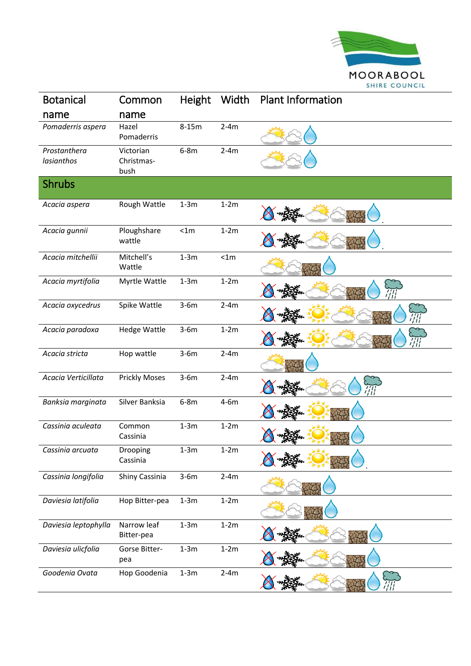

| <b>Botanical</b>           | Common                          | <b>Height</b> | Width  | <b>Plant Information</b> |
|----------------------------|---------------------------------|---------------|--------|--------------------------|
| name                       | name                            |               |        |                          |
| Pomaderris aspera          | Hazel<br>Pomaderris             | $8-15m$       | $2-4m$ |                          |
| Prostanthera<br>lasianthos | Victorian<br>Christmas-<br>bush | $6-8m$        | $2-4m$ |                          |
| <b>Shrubs</b>              |                                 |               |        |                          |
| Acacia aspera              | Rough Wattle                    | $1-3m$        | $1-2m$ |                          |
| Acacia gunnii              | Ploughshare<br>wattle           | < 1m          | $1-2m$ |                          |
| Acacia mitchellii          | Mitchell's<br>Wattle            | $1-3m$        | < 1m   |                          |
| Acacia myrtifolia          | Myrtle Wattle                   | $1-3m$        | $1-2m$ |                          |
| Acacia oxycedrus           | Spike Wattle                    | $3-6m$        | $2-4m$ |                          |
| Acacia paradoxa            | Hedge Wattle                    | $3-6m$        | $1-2m$ |                          |
| Acacia stricta             | Hop wattle                      | $3-6m$        | $2-4m$ |                          |
| Acacia Verticillata        | <b>Prickly Moses</b>            | $3-6m$        | $2-4m$ |                          |
| Banksia marginata          | Silver Banksia                  | $6-8m$        | $4-6m$ |                          |
| Cassinia aculeata          | Common<br>Cassinia              | $1-3m$        | $1-2m$ |                          |
| Cassinia arcuata           | Drooping<br>Cassinia            | $1-3m$        | $1-2m$ |                          |
| Cassinia longifolia        | Shiny Cassinia                  | $3-6m$        | $2-4m$ |                          |
| Daviesia latifolia         | Hop Bitter-pea                  | $1-3m$        | $1-2m$ |                          |
| Daviesia leptophylla       | Narrow leaf<br>Bitter-pea       | $1-3m$        | $1-2m$ |                          |
| Daviesia ulicfolia         | Gorse Bitter-<br>pea            | $1-3m$        | $1-2m$ |                          |
| Goodenia Ovata             | Hop Goodenia                    | $1-3m$        | $2-4m$ |                          |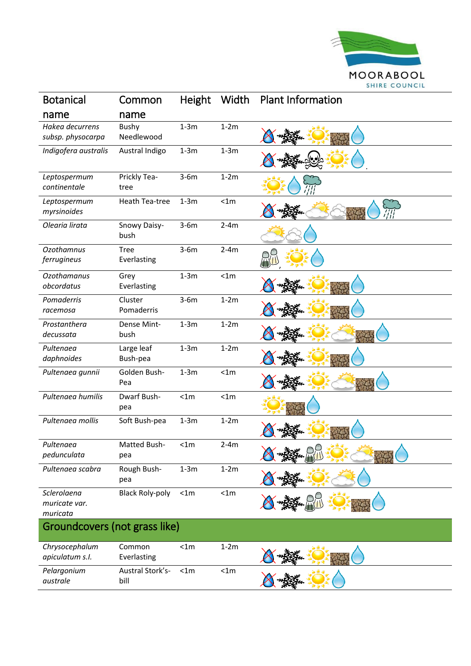

| <b>Botanical</b>                         | Common                     | <b>Height</b> | Width  | <b>Plant Information</b> |  |
|------------------------------------------|----------------------------|---------------|--------|--------------------------|--|
| name                                     | name                       |               |        |                          |  |
| Hakea decurrens<br>subsp. physocarpa     | <b>Bushy</b><br>Needlewood | $1-3m$        | $1-2m$ |                          |  |
| Indigofera australis                     | Austral Indigo             | $1-3m$        | $1-3m$ |                          |  |
| Leptospermum<br>continentale             | Prickly Tea-<br>tree       | $3-6m$        | $1-2m$ |                          |  |
| Leptospermum<br>myrsinoides              | Heath Tea-tree             | $1-3m$        | < 1m   |                          |  |
| Olearia lirata                           | Snowy Daisy-<br>bush       | $3-6m$        | $2-4m$ |                          |  |
| <b>Ozothamnus</b><br>ferrugineus         | <b>Tree</b><br>Everlasting | $3-6m$        | $2-4m$ |                          |  |
| <b>Ozothamanus</b><br>obcordatus         | Grey<br>Everlasting        | $1-3m$        | < 1m   |                          |  |
| Pomaderris<br>racemosa                   | Cluster<br>Pomaderris      | $3-6m$        | $1-2m$ |                          |  |
| Prostanthera<br>decussata                | Dense Mint-<br>bush        | $1-3m$        | $1-2m$ |                          |  |
| Pultenaea<br>daphnoides                  | Large leaf<br>Bush-pea     | $1-3m$        | $1-2m$ |                          |  |
| Pultenaea gunnii                         | Golden Bush-<br>Pea        | $1-3m$        | < 1m   |                          |  |
| Pultenaea humilis                        | Dwarf Bush-<br>pea         | < 1m          | < 1m   |                          |  |
| Pultenaea mollis                         | Soft Bush-pea              | $1-3m$        | $1-2m$ |                          |  |
| Pultenaea<br>pedunculata                 | Matted Bush-<br>pea        | < 1m          | $2-4m$ | A<br>⌒                   |  |
| Pultenaea scabra                         | Rough Bush-<br>pea         | $1-3m$        | $1-2m$ |                          |  |
| Sclerolaena<br>muricate var.<br>muricata | <b>Black Roly-poly</b>     | < 1m          | < 1m   |                          |  |
| Groundcovers (not grass like)            |                            |               |        |                          |  |
| Chrysocephalum<br>apiculatum s.l.        | Common<br>Everlasting      | < 1m          | $1-2m$ |                          |  |
| Pelargonium<br>australe                  | Austral Stork's-<br>bill   | < 1m          | < 1m   |                          |  |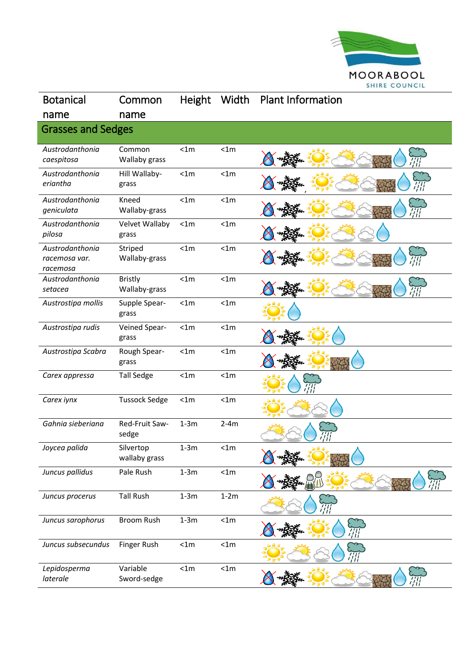

| <b>Botanical</b>                             | Common                          | <b>Height</b> | Width  | <b>Plant Information</b> |
|----------------------------------------------|---------------------------------|---------------|--------|--------------------------|
| name                                         | name                            |               |        |                          |
| <b>Grasses and Sedges</b>                    |                                 |               |        |                          |
| Austrodanthonia<br>caespitosa                | Common<br>Wallaby grass         | < 1m          | < 1m   |                          |
| Austrodanthonia<br>eriantha                  | Hill Wallaby-<br>grass          | < 1m          | < 1m   |                          |
| Austrodanthonia<br>geniculata                | Kneed<br>Wallaby-grass          | < 1m          | < 1m   |                          |
| Austrodanthonia<br>pilosa                    | Velvet Wallaby<br>grass         | < 1m          | < 1m   |                          |
| Austrodanthonia<br>racemosa var.<br>racemosa | Striped<br>Wallaby-grass        | < 1m          | < 1m   |                          |
| Austrodanthonia<br>setacea                   | <b>Bristly</b><br>Wallaby-grass | < 1m          | < 1m   |                          |
| Austrostipa mollis                           | Supple Spear-<br>grass          | < 1m          | < 1m   |                          |
| Austrostipa rudis                            | Veined Spear-<br>grass          | < 1m          | < 1m   |                          |
| Austrostipa Scabra                           | Rough Spear-<br>grass           | < 1m          | < 1m   |                          |
| Carex appressa                               | <b>Tall Sedge</b>               | < 1m          | < 1m   |                          |
| Carex iynx                                   | <b>Tussock Sedge</b>            | < 1m          | < 1m   |                          |
| Gahnia sieberiana                            | Red-Fruit Saw-<br>sedge         | $1-3m$        | $2-4m$ |                          |
| Joycea palida                                | Silvertop<br>wallaby grass      | $1-3m$        | < 1m   | Â                        |
| Juncus pallidus                              | Pale Rush                       | $1-3m$        | < 1m   |                          |
| Juncus procerus                              | <b>Tall Rush</b>                | $1-3m$        | $1-2m$ |                          |
| Juncus sarophorus                            | <b>Broom Rush</b>               | $1-3m$        | < 1m   |                          |
| Juncus subsecundus                           | Finger Rush                     | < 1m          | < 1m   |                          |
| Lepidosperma<br>laterale                     | Variable<br>Sword-sedge         | < 1m          | < 1m   |                          |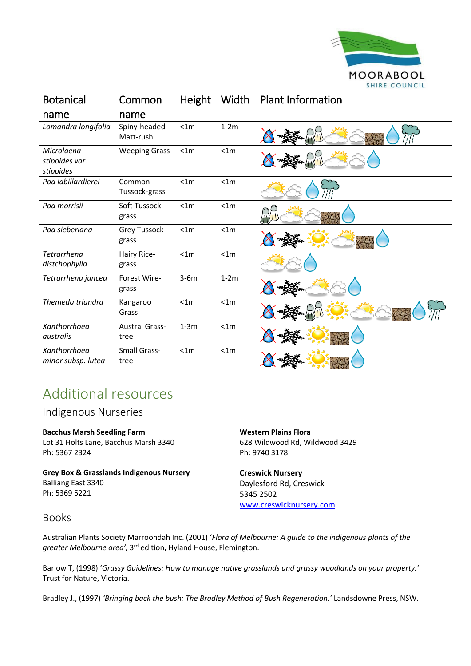

| <b>Botanical</b>                          | Common                        | Height | Width  | <b>Plant Information</b> |
|-------------------------------------------|-------------------------------|--------|--------|--------------------------|
| name                                      | name                          |        |        |                          |
| Lomandra longifolia                       | Spiny-headed<br>Matt-rush     | < 1m   | $1-2m$ |                          |
| Microlaena<br>stipoides var.<br>stipoides | <b>Weeping Grass</b>          | < 1m   | < 1m   |                          |
| Poa labillardierei                        | Common<br>Tussock-grass       | < 1m   | < 1m   |                          |
| Poa morrisii                              | Soft Tussock-<br>grass        | < 1m   | < 1m   |                          |
| Poa sieberiana                            | Grey Tussock-<br>grass        | < 1m   | < 1m   |                          |
| Tetrarrhena<br>distchophylla              | Hairy Rice-<br>grass          | < 1m   | < 1m   |                          |
| Tetrarrhena juncea                        | Forest Wire-<br>grass         | $3-6m$ | $1-2m$ |                          |
| Themeda triandra                          | Kangaroo<br>Grass             | < 1m   | < 1m   |                          |
| Xanthorrhoea<br>australis                 | <b>Austral Grass-</b><br>tree | $1-3m$ | < 1m   |                          |
| Xanthorrhoea<br>minor subsp. lutea        | Small Grass-<br>tree          | < 1m   | < 1m   |                          |

## Additional resources

Indigenous Nurseries

## **Bacchus Marsh Seedling Farm**

Lot 31 Holts Lane, Bacchus Marsh 3340 Ph: 5367 2324

**Grey Box & Grasslands Indigenous Nursery** Balliang East 3340 Ph: 5369 5221

**Western Plains Flora** 628 Wildwood Rd, Wildwood 3429 Ph: 9740 3178

**Creswick Nursery** Daylesford Rd, Creswick 5345 2502 [www.creswicknursery.com](http://www.creswicknursery.com/)

## Books

Australian Plants Society Marroondah Inc. (2001) '*Flora of Melbourne: A guide to the indigenous plants of the*  greater Melbourne area', 3<sup>rd</sup> edition, Hyland House, Flemington.

Barlow T, (1998) '*Grassy Guidelines: How to manage native grasslands and grassy woodlands on your property.'*  Trust for Nature, Victoria.

Bradley J., (1997) *'Bringing back the bush: The Bradley Method of Bush Regeneration.'* Landsdowne Press, NSW.